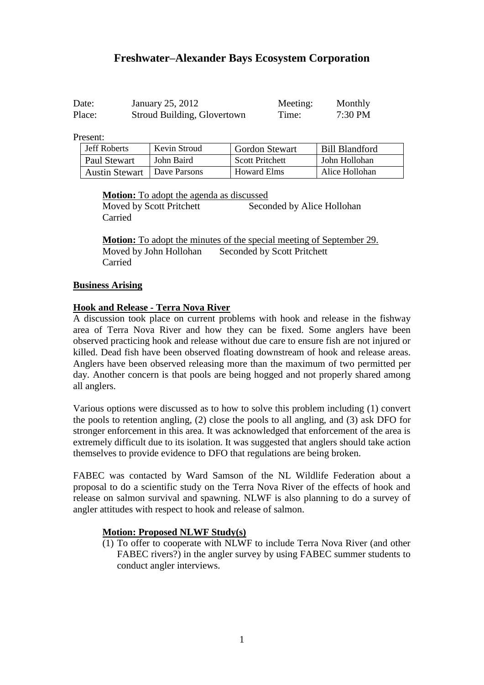# **Freshwater–Alexander Bays Ecosystem Corporation**

| Date:  | January 25, 2012            | Meeting: | Monthly |
|--------|-----------------------------|----------|---------|
| Place: | Stroud Building, Glovertown | Time:    | 7:30 PM |

Present:

| <b>Jeff Roberts</b>   | Kevin Stroud | <b>Gordon Stewart</b>  | Bill Blandford |
|-----------------------|--------------|------------------------|----------------|
| Paul Stewart          | John Baird   | <b>Scott Pritchett</b> | John Hollohan  |
| <b>Austin Stewart</b> | Dave Parsons | <b>Howard Elms</b>     | Alice Hollohan |

**Motion:** To adopt the agenda as discussed

Moved by Scott Pritchett Seconded by Alice Hollohan Carried

**Motion:** To adopt the minutes of the special meeting of September 29. Moved by John Hollohan Seconded by Scott Pritchett Carried

#### **Business Arising**

#### **Hook and Release - Terra Nova River**

A discussion took place on current problems with hook and release in the fishway area of Terra Nova River and how they can be fixed. Some anglers have been observed practicing hook and release without due care to ensure fish are not injured or killed. Dead fish have been observed floating downstream of hook and release areas. Anglers have been observed releasing more than the maximum of two permitted per day. Another concern is that pools are being hogged and not properly shared among all anglers.

Various options were discussed as to how to solve this problem including (1) convert the pools to retention angling, (2) close the pools to all angling, and (3) ask DFO for stronger enforcement in this area. It was acknowledged that enforcement of the area is extremely difficult due to its isolation. It was suggested that anglers should take action themselves to provide evidence to DFO that regulations are being broken.

FABEC was contacted by Ward Samson of the NL Wildlife Federation about a proposal to do a scientific study on the Terra Nova River of the effects of hook and release on salmon survival and spawning. NLWF is also planning to do a survey of angler attitudes with respect to hook and release of salmon.

#### **Motion: Proposed NLWF Study(s)**

(1) To offer to cooperate with NLWF to include Terra Nova River (and other FABEC rivers?) in the angler survey by using FABEC summer students to conduct angler interviews.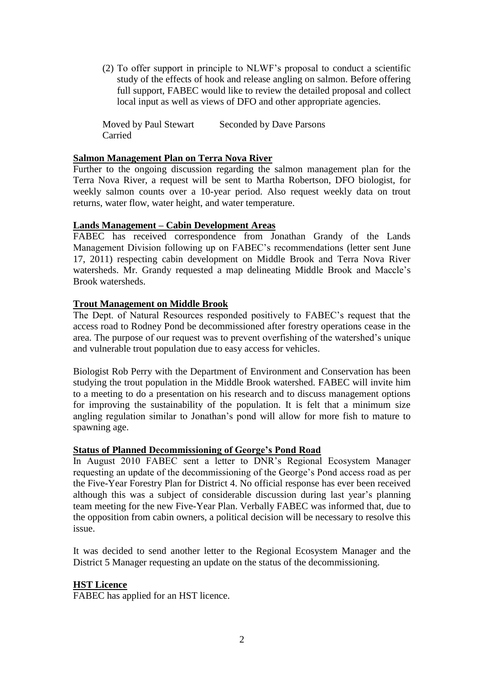(2) To offer support in principle to NLWF's proposal to conduct a scientific study of the effects of hook and release angling on salmon. Before offering full support, FABEC would like to review the detailed proposal and collect local input as well as views of DFO and other appropriate agencies.

Moved by Paul Stewart Seconded by Dave Parsons Carried

#### **Salmon Management Plan on Terra Nova River**

Further to the ongoing discussion regarding the salmon management plan for the Terra Nova River, a request will be sent to Martha Robertson, DFO biologist, for weekly salmon counts over a 10-year period. Also request weekly data on trout returns, water flow, water height, and water temperature.

#### **Lands Management – Cabin Development Areas**

FABEC has received correspondence from Jonathan Grandy of the Lands Management Division following up on FABEC's recommendations (letter sent June 17, 2011) respecting cabin development on Middle Brook and Terra Nova River watersheds. Mr. Grandy requested a map delineating Middle Brook and Maccle's Brook watersheds.

# **Trout Management on Middle Brook**

The Dept. of Natural Resources responded positively to FABEC's request that the access road to Rodney Pond be decommissioned after forestry operations cease in the area. The purpose of our request was to prevent overfishing of the watershed's unique and vulnerable trout population due to easy access for vehicles.

Biologist Rob Perry with the Department of Environment and Conservation has been studying the trout population in the Middle Brook watershed. FABEC will invite him to a meeting to do a presentation on his research and to discuss management options for improving the sustainability of the population. It is felt that a minimum size angling regulation similar to Jonathan's pond will allow for more fish to mature to spawning age.

#### **Status of Planned Decommissioning of George's Pond Road**

In August 2010 FABEC sent a letter to DNR's Regional Ecosystem Manager requesting an update of the decommissioning of the George's Pond access road as per the Five-Year Forestry Plan for District 4. No official response has ever been received although this was a subject of considerable discussion during last year's planning team meeting for the new Five-Year Plan. Verbally FABEC was informed that, due to the opposition from cabin owners, a political decision will be necessary to resolve this issue.

It was decided to send another letter to the Regional Ecosystem Manager and the District 5 Manager requesting an update on the status of the decommissioning.

# **HST Licence**

FABEC has applied for an HST licence.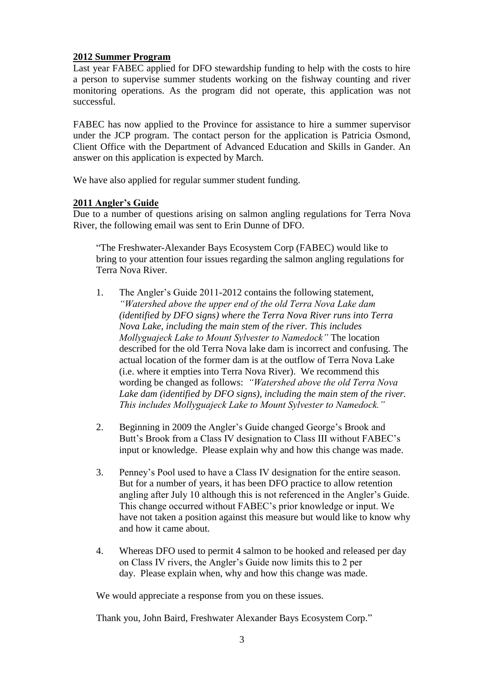## **2012 Summer Program**

Last year FABEC applied for DFO stewardship funding to help with the costs to hire a person to supervise summer students working on the fishway counting and river monitoring operations. As the program did not operate, this application was not successful.

FABEC has now applied to the Province for assistance to hire a summer supervisor under the JCP program. The contact person for the application is Patricia Osmond, Client Office with the Department of Advanced Education and Skills in Gander. An answer on this application is expected by March.

We have also applied for regular summer student funding.

## **2011 Angler's Guide**

Due to a number of questions arising on salmon angling regulations for Terra Nova River, the following email was sent to Erin Dunne of DFO.

"The Freshwater-Alexander Bays Ecosystem Corp (FABEC) would like to bring to your attention four issues regarding the salmon angling regulations for Terra Nova River.

- 1. The Angler's Guide 2011-2012 contains the following statement, *"Watershed above the upper end of the old Terra Nova Lake dam (identified by DFO signs) where the Terra Nova River runs into Terra Nova Lake, including the main stem of the river. This includes Mollyguajeck Lake to Mount Sylvester to Namedock"* The location described for the old Terra Nova lake dam is incorrect and confusing. The actual location of the former dam is at the outflow of Terra Nova Lake (i.e. where it empties into Terra Nova River). We recommend this wording be changed as follows: *"Watershed above the old Terra Nova Lake dam (identified by DFO signs), including the main stem of the river. This includes Mollyguajeck Lake to Mount Sylvester to Namedock."*
- 2. Beginning in 2009 the Angler's Guide changed George's Brook and Butt's Brook from a Class IV designation to Class III without FABEC's input or knowledge. Please explain why and how this change was made.
- 3. Penney's Pool used to have a Class IV designation for the entire season. But for a number of years, it has been DFO practice to allow retention angling after July 10 although this is not referenced in the Angler's Guide. This change occurred without FABEC's prior knowledge or input. We have not taken a position against this measure but would like to know why and how it came about.
- 4. Whereas DFO used to permit 4 salmon to be hooked and released per day on Class IV rivers, the Angler's Guide now limits this to 2 per day. Please explain when, why and how this change was made.

We would appreciate a response from you on these issues.

Thank you, John Baird, Freshwater Alexander Bays Ecosystem Corp."